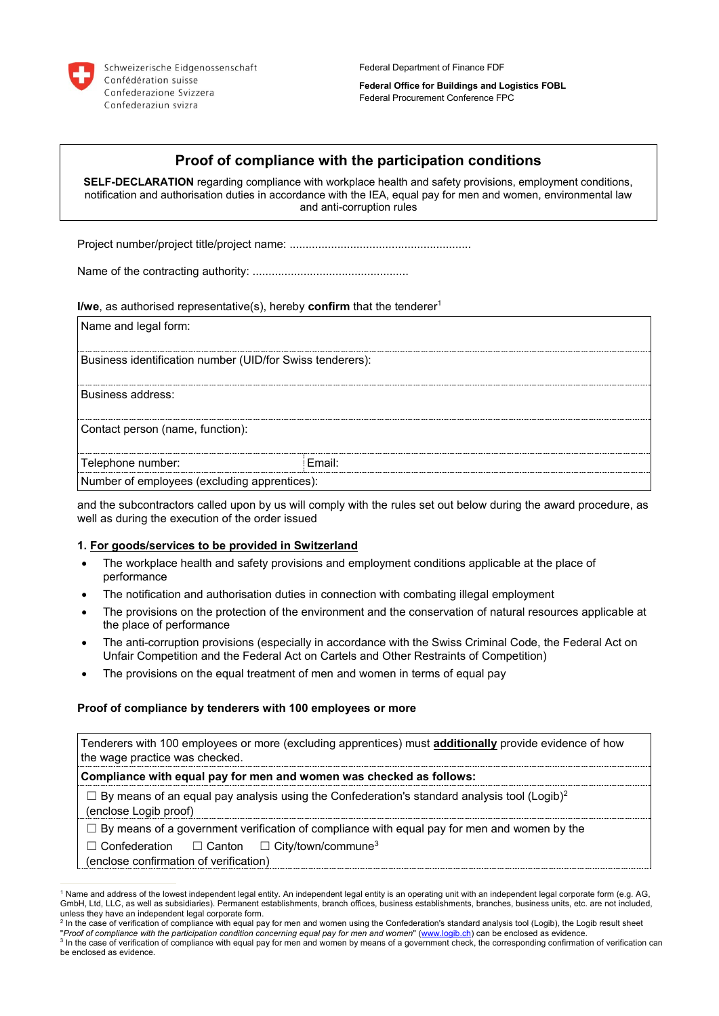

Federal Department of Finance FDF

**Federal Office for Buildings and Logistics FOBL** Federal Procurement Conference FPC

# **Proof of compliance with the participation conditions**

**SELF-DECLARATION** regarding compliance with workplace health and safety provisions, employment conditions, notification and authorisation duties in accordance with the IEA, equal pay for men and women, environmental law and anti-corruption rules

Project number/project title/project name: .........................................................

Name of the contracting authority: .................................................

**I/we**, as authorised representative(s), hereby **confirm** that the tenderer<sup>1</sup>

| Name and legal form:                                      |        |  |
|-----------------------------------------------------------|--------|--|
| Business identification number (UID/for Swiss tenderers): |        |  |
| Business address:                                         |        |  |
| Contact person (name, function):                          |        |  |
| Telephone number:                                         | Email: |  |
| Number of employees (excluding apprentices):              |        |  |

and the subcontractors called upon by us will comply with the rules set out below during the award procedure, as well as during the execution of the order issued

#### **1. For goods/services to be provided in Switzerland**

- The workplace health and safety provisions and employment conditions applicable at the place of performance
- The notification and authorisation duties in connection with combating illegal employment
- The provisions on the protection of the environment and the conservation of natural resources applicable at the place of performance
- The anti-corruption provisions (especially in accordance with the Swiss Criminal Code, the Federal Act on Unfair Competition and the Federal Act on Cartels and Other Restraints of Competition)
- The provisions on the equal treatment of men and women in terms of equal pay

#### **Proof of compliance by tenderers with 100 employees or more**

Tenderers with 100 employees or more (excluding apprentices) must **additionally** provide evidence of how the wage practice was checked.

**1. Compliance with equal pay for men and women was checked as follows:**

 $\Box$  By means of an equal pay analysis using the Confederation's standard analysis tool (Logib)<sup>2</sup>

(enclose Logib proof)

 $\Box$  By means of a government verification of compliance with equal pay for men and women by the

□ Confederation □ Canton □ City/town/commune<sup>3</sup>

(enclose confirmation of verification)

<sup>1</sup> Name and address of the lowest independent legal entity. An independent legal entity is an operating unit with an independent legal corporate form (e.g. AG, GmbH, Ltd, LLC, as well as subsidiaries). Permanent establishments, branch offices, business establishments, branches, business units, etc. are not included, unless they have an independent legal corporate form.

<sup>&</sup>lt;sup>2</sup> In the case of verification of compliance with equal pay for men and women using the Confederation's standard analysis tool (Logib), the Logib result sheet

<sup>&</sup>quot;*Proof of compliance with the participation condition concerning equal pay for men and women*" (<u>www.logib.ch</u>) can be enclosed as evidence.<br><sup>3</sup> In the case of verification of compliance with equal pay for men and women b be enclosed as evidence.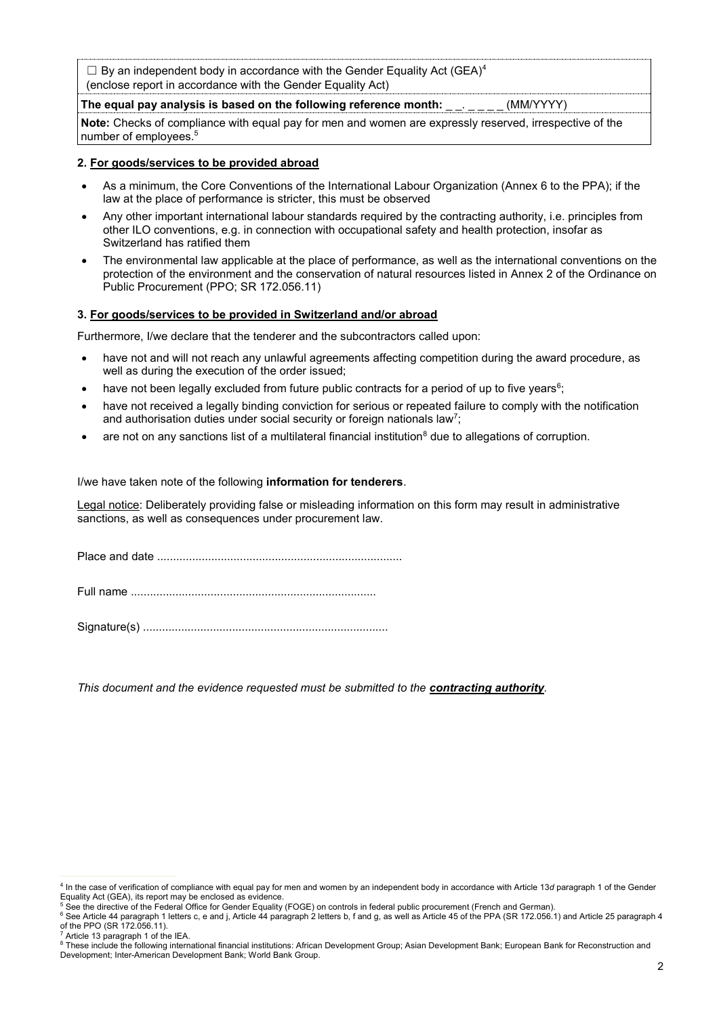$\Box$  By an independent body in accordance with the Gender Equality Act (GEA)<sup>4</sup> (enclose report in accordance with the Gender Equality Act)

The equal pay analysis is based on the following reference month: \_ \_. \_ \_ \_ \_ (MM/YYYY)

**Note:** Checks of compliance with equal pay for men and women are expressly reserved, irrespective of the number of employees.<sup>5</sup>

#### **2. For goods/services to be provided abroad**

- As a minimum, the Core Conventions of the International Labour Organization (Annex 6 to the PPA); if the law at the place of performance is stricter, this must be observed
- Any other important international labour standards required by the contracting authority, i.e. principles from other ILO conventions, e.g. in connection with occupational safety and health protection, insofar as Switzerland has ratified them
- The environmental law applicable at the place of performance, as well as the international conventions on the protection of the environment and the conservation of natural resources listed in Annex 2 of the Ordinance on Public Procurement (PPO; SR 172.056.11)

# **3. For goods/services to be provided in Switzerland and/or abroad**

Furthermore, I/we declare that the tenderer and the subcontractors called upon:

- have not and will not reach any unlawful agreements affecting competition during the award procedure, as well as during the execution of the order issued;
- have not been legally excluded from future public contracts for a period of up to five years $^6;$
- have not received a legally binding conviction for serious or repeated failure to comply with the notification and authorisation duties under social security or foreign nationals law<sup>7</sup>;
- are not on any sanctions list of a multilateral financial institution $<sup>8</sup>$  due to allegations of corruption.</sup>

I/we have taken note of the following **information for tenderers**.

Legal notice: Deliberately providing false or misleading information on this form may result in administrative sanctions, as well as consequences under procurement law.

Place and date .............................................................................

Full name .............................................................................

Signature(s) .............................................................................

*This document and the evidence requested must be submitted to the contracting authority.*

<sup>4</sup> In the case of verification of compliance with equal pay for men and women by an independent body in accordance with Article 13*d* paragraph 1 of the Gender Equality Act (GEA), its report may be enclosed as evidence.

<sup>5</sup> See the directive of the Federal Office for Gender Equality (FOGE) on controls in federal public procurement (French and German).

<sup>6</sup> See Article 44 paragraph 1 letters c, e and j, Article 44 paragraph 2 letters b, f and g, as well as Article 45 of the PPA (SR 172.056.1) and Article 25 paragraph 4 of the PPO (SR 172.056.11).

Article 13 paragraph 1 of the IEA.

<sup>&</sup>lt;sup>8</sup> These include the following international financial institutions: African Development Group; Asian Development Bank; European Bank for Reconstruction and Development; Inter-American Development Bank; World Bank Group.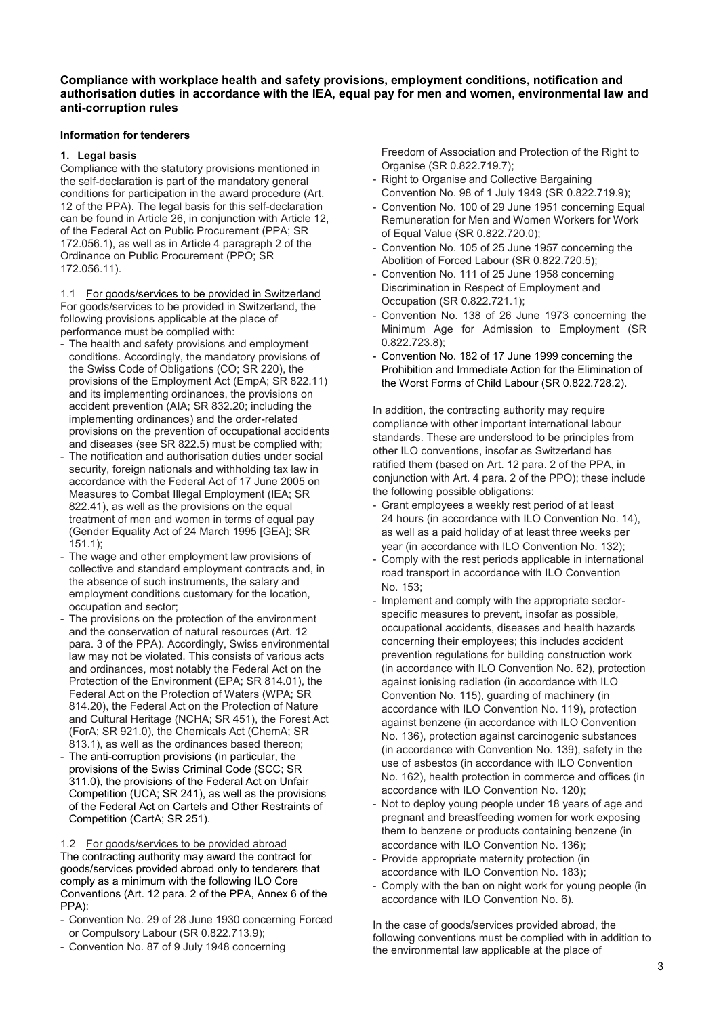# **Compliance with workplace health and safety provisions, employment conditions, notification and authorisation duties in accordance with the IEA, equal pay for men and women, environmental law and anti-corruption rules**

#### **Information for tenderers**

#### **1. Legal basis**

Compliance with the statutory provisions mentioned in the self-declaration is part of the mandatory general conditions for participation in the award procedure (Art. 12 of the PPA). The legal basis for this self-declaration can be found in Article 26, in conjunction with Article 12, of the Federal Act on Public Procurement (PPA; SR 172.056.1), as well as in Article 4 paragraph 2 of the Ordinance on Public Procurement (PPO; SR 172.056.11).

1.1 For goods/services to be provided in Switzerland For goods/services to be provided in Switzerland, the following provisions applicable at the place of performance must be complied with:

- The health and safety provisions and employment conditions. Accordingly, the mandatory provisions of the Swiss Code of Obligations (CO; SR 220), the provisions of the Employment Act (EmpA; SR 822.11) and its implementing ordinances, the provisions on accident prevention (AIA; SR 832.20; including the implementing ordinances) and the order-related provisions on the prevention of occupational accidents and diseases (see SR 822.5) must be complied with;
- The notification and authorisation duties under social security, foreign nationals and withholding tax law in accordance with the Federal Act of 17 June 2005 on Measures to Combat Illegal Employment (IEA; SR 822.41), as well as the provisions on the equal treatment of men and women in terms of equal pay (Gender Equality Act of 24 March 1995 [GEA]; SR 151.1);
- The wage and other employment law provisions of collective and standard employment contracts and, in the absence of such instruments, the salary and employment conditions customary for the location, occupation and sector;
- The provisions on the protection of the environment and the conservation of natural resources (Art. 12 para. 3 of the PPA). Accordingly, Swiss environmental law may not be violated. This consists of various acts and ordinances, most notably the Federal Act on the Protection of the Environment (EPA; SR 814.01), the Federal Act on the Protection of Waters (WPA; SR 814.20), the Federal Act on the Protection of Nature and Cultural Heritage (NCHA; SR 451), the Forest Act (ForA; SR 921.0), the Chemicals Act (ChemA; SR 813.1), as well as the ordinances based thereon;
- The anti-corruption provisions (in particular, the provisions of the Swiss Criminal Code (SCC; SR 311.0), the provisions of the Federal Act on Unfair Competition (UCA; SR 241), as well as the provisions of the Federal Act on Cartels and Other Restraints of Competition (CartA; SR 251).

1.2 For goods/services to be provided abroad The contracting authority may award the contract for goods/services provided abroad only to tenderers that comply as a minimum with the following ILO Core Conventions (Art. 12 para. 2 of the PPA, Annex 6 of the PPA):

- Convention No. 29 of 28 June 1930 concerning Forced or Compulsory Labour (SR 0.822.713.9);
- Convention No. 87 of 9 July 1948 concerning

Freedom of Association and Protection of the Right to Organise (SR 0.822.719.7);

- Right to Organise and Collective Bargaining Convention No. 98 of 1 July 1949 (SR 0.822.719.9);
- Convention No. 100 of 29 June 1951 concerning Equal Remuneration for Men and Women Workers for Work of Equal Value (SR 0.822.720.0);
- Convention No. 105 of 25 June 1957 concerning the Abolition of Forced Labour (SR 0.822.720.5);
- Convention No. 111 of 25 June 1958 concerning Discrimination in Respect of Employment and Occupation (SR 0.822.721.1);
- Convention No. 138 of 26 June 1973 concerning the Minimum Age for Admission to Employment (SR 0.822.723.8);
- Convention No. 182 of 17 June 1999 concerning the Prohibition and Immediate Action for the Elimination of the Worst Forms of Child Labour (SR 0.822.728.2).

In addition, the contracting authority may require compliance with other important international labour standards. These are understood to be principles from other ILO conventions, insofar as Switzerland has ratified them (based on Art. 12 para. 2 of the PPA, in conjunction with Art. 4 para. 2 of the PPO); these include the following possible obligations:

- Grant employees a weekly rest period of at least 24 hours (in accordance with ILO Convention No. 14), as well as a paid holiday of at least three weeks per year (in accordance with ILO Convention No. 132);
- Comply with the rest periods applicable in international road transport in accordance with ILO Convention No. 153;
- Implement and comply with the appropriate sectorspecific measures to prevent, insofar as possible, occupational accidents, diseases and health hazards concerning their employees; this includes accident prevention regulations for building construction work (in accordance with ILO Convention No. 62), protection against ionising radiation (in accordance with ILO Convention No. 115), guarding of machinery (in accordance with ILO Convention No. 119), protection against benzene (in accordance with ILO Convention No. 136), protection against carcinogenic substances (in accordance with Convention No. 139), safety in the use of asbestos (in accordance with ILO Convention No. 162), health protection in commerce and offices (in accordance with ILO Convention No. 120);
- Not to deploy young people under 18 years of age and pregnant and breastfeeding women for work exposing them to benzene or products containing benzene (in accordance with ILO Convention No. 136);
- Provide appropriate maternity protection (in accordance with ILO Convention No. 183);
- Comply with the ban on night work for young people (in accordance with ILO Convention No. 6).

In the case of goods/services provided abroad, the following conventions must be complied with in addition to the environmental law applicable at the place of